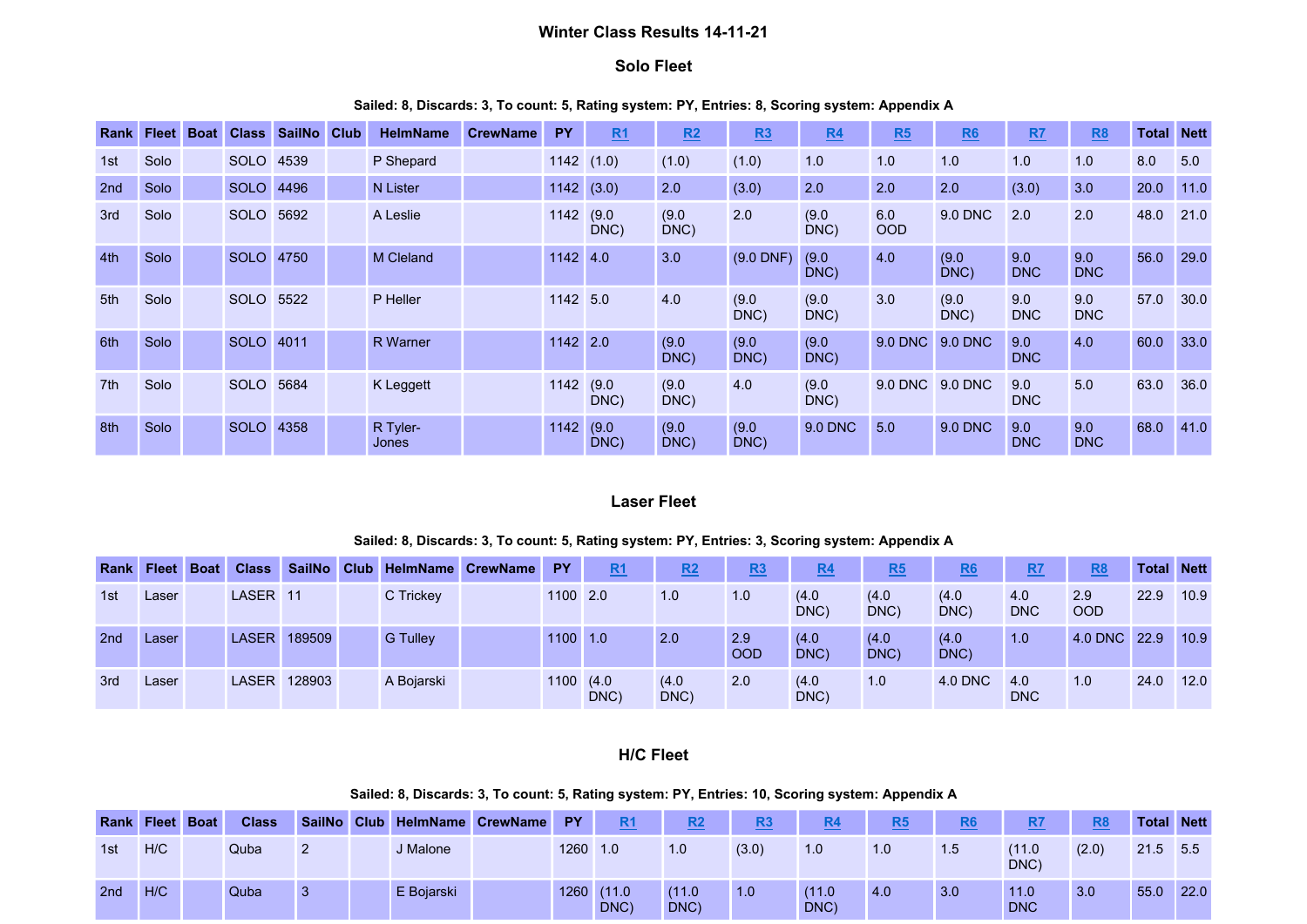## Winter Class Results 14-11-21

### Solo Fleet

#### Sailed: 8, Discards: 3, To count: 5, Rating system: PY, Entries: 8, Scoring system: Appendix A

| Rank            | <b>Fleet</b> | <b>Boat</b> | <b>Class</b> | SailNo | <b>Club</b> | <b>HelmName</b>   | <b>CrewName</b> | <b>PY</b> | R1            | R2            | R3            | R4            | R5                | R6             | R7                | <u>R8</u>         | <b>Total Nett</b> |      |
|-----------------|--------------|-------------|--------------|--------|-------------|-------------------|-----------------|-----------|---------------|---------------|---------------|---------------|-------------------|----------------|-------------------|-------------------|-------------------|------|
| 1st             | Solo         |             | <b>SOLO</b>  | 4539   |             | P Shepard         |                 | 1142      | (1.0)         | (1.0)         | (1.0)         | 1.0           | 1.0               | 1.0            | 1.0               | 1.0               | 8.0               | 5.0  |
| 2nd             | Solo         |             | <b>SOLO</b>  | 4496   |             | <b>N</b> Lister   |                 | 1142      | (3.0)         | 2.0           | (3.0)         | 2.0           | 2.0               | 2.0            | (3.0)             | 3.0               | 20.0              | 11.0 |
| 3rd             | Solo         |             | <b>SOLO</b>  | 5692   |             | A Leslie          |                 | 1142 (9.0 | DNC)          | (9.0)<br>DNC) | 2.0           | (9.0)<br>DNC) | 6.0<br><b>OOD</b> | 9.0 DNC        | 2.0               | 2.0               | 48.0              | 21.0 |
| 4th             | Solo         |             | <b>SOLO</b>  | 4750   |             | <b>M Cleland</b>  |                 | 1142      | 4.0           | 3.0           | $(9.0$ DNF)   | (9.0)<br>DNC) | 4.0               | (9.0)<br>DNC)  | 9.0<br><b>DNC</b> | 9.0<br><b>DNC</b> | 56.0              | 29.0 |
| 5th             | Solo         |             | <b>SOLO</b>  | 5522   |             | P Heller          |                 | 1142 5.0  |               | 4.0           | (9.0)<br>DNC) | (9.0)<br>DNC) | 3.0               | (9.0)<br>DNC)  | 9.0<br><b>DNC</b> | 9.0<br><b>DNC</b> | 57.0              | 30.0 |
| 6th             | Solo         |             | <b>SOLO</b>  | 4011   |             | <b>R</b> Warner   |                 | 1142 2.0  |               | (9.0)<br>DNC) | (9.0)<br>DNC) | (9.0)<br>DNC) | 9.0 DNC           | 9.0 DNC        | 9.0<br><b>DNC</b> | 4.0               | 60.0              | 33.0 |
| 7 <sup>th</sup> | Solo         |             | <b>SOLO</b>  | 5684   |             | K Leggett         |                 | 1142 (9.0 | DNC)          | (9.0)<br>DNC) | 4.0           | (9.0)<br>DNC) | 9.0 DNC           | 9.0 DNC        | 9.0<br><b>DNC</b> | 5.0               | 63.0              | 36.0 |
| 8th             | Solo         |             | <b>SOLO</b>  | 4358   |             | R Tyler-<br>Jones |                 | 1142      | (9.0)<br>DNC) | (9.0)<br>DNC) | (9.0)<br>DNC) | 9.0 DNC       | 5.0               | <b>9.0 DNC</b> | 9.0<br><b>DNC</b> | 9.0<br><b>DNC</b> | 68.0              | 41.0 |

## Laser Fleet

#### Sailed: 8, Discards: 3, To count: 5, Rating system: PY, Entries: 3, Scoring system: Appendix A

| <b>Rank</b> | <b>Fleet</b> | <b>Boat</b> | <b>Class</b>        | <b>SailNo</b> |                 | Club HelmName CrewName | <b>PY</b> | R <sub>1</sub> | R2            | R3                | R <sub>4</sub> | R5            | <u>R6</u>     | R7                | R <sub>8</sub>    | <b>Total</b> | <b>Nett</b> |
|-------------|--------------|-------------|---------------------|---------------|-----------------|------------------------|-----------|----------------|---------------|-------------------|----------------|---------------|---------------|-------------------|-------------------|--------------|-------------|
| 1st         | Laser        |             | LASER <sub>11</sub> |               | C Trickey       |                        | 1100 2.0  |                | 1.0           | 1.0               | (4.0)<br>DNC)  | (4.0)<br>DNC) | (4.0)<br>DNC) | 4.0<br><b>DNC</b> | 2.9<br><b>OOD</b> | 22.9         | 10.9        |
| 2nd         | Laser        |             | <b>LASER</b>        | 189509        | <b>G</b> Tulley |                        | 1100 1.0  |                | 2.0           | 2.9<br><b>OOD</b> | (4.0)<br>DNC)  | (4.0)<br>DNC) | (4.0)<br>DNC) | 1.0               | 4.0 DNC 22.9      |              | 10.9        |
| 3rd         | Laser        |             | <b>LASER</b>        | 128903        | A Bojarski      |                        | 1100      | (4.0)<br>DNC)  | (4.0)<br>DNC) | 2.0               | (4.0)<br>DNC)  | 1.0           | 4.0 DNC       | 4.0<br><b>DNC</b> | 1.0               | 24.0         | 12.0        |

## H/C Fleet

## Sailed: 8, Discards: 3, To count: 5, Rating system: PY, Entries: 10, Scoring system: Appendix A

| <b>Rank Fleet Boat</b> |     | <b>Class</b> |    | SailNo Club HelmName CrewName | <b>PY</b> | <b>R1</b>     | R2             | R <sub>3</sub> | R <sub>4</sub> | R5  | R <sub>6</sub> | R7                 | R <sub>8</sub> | <b>Total Nett</b> |      |
|------------------------|-----|--------------|----|-------------------------------|-----------|---------------|----------------|----------------|----------------|-----|----------------|--------------------|----------------|-------------------|------|
| 1st                    | H/C | Quba         | 2  | J Malone                      | 1260 1.0  |               | 1.0            | (3.0)          | 1.0            | 1.0 | 1.5            | (11.0)<br>DNC)     | (2.0)          | 21.5 5.5          |      |
| 2nd                    | H/C | Quba         | -3 | E Bojarski                    | 1260      | (11.0<br>DNC) | (11.0)<br>DNC) | 1.0            | (11.0)<br>DNC) | 4.0 | 3.0            | 11.0<br><b>DNC</b> | 3.0            | 55.0              | 22.0 |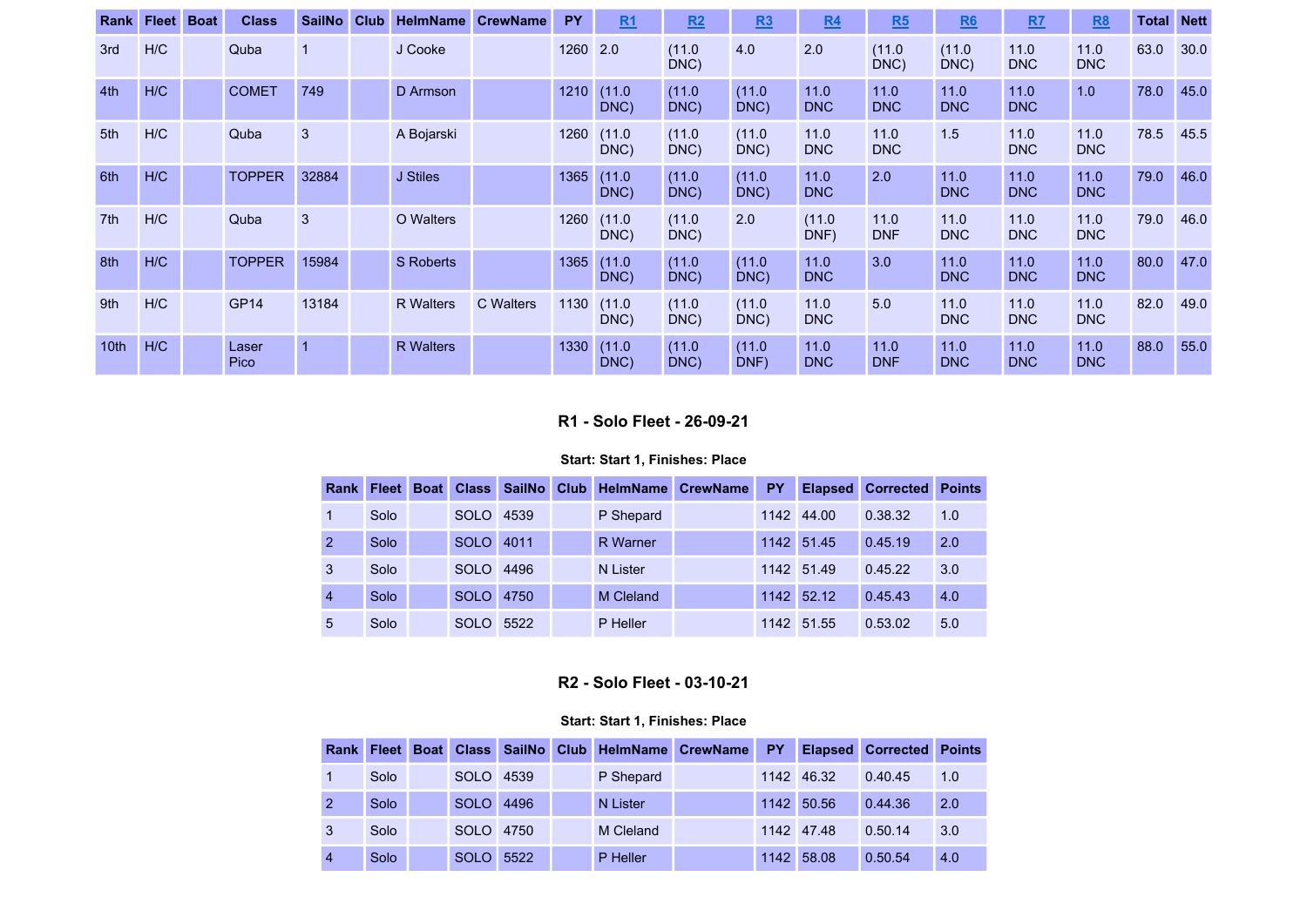| Rank             | <b>Fleet</b> | <b>Boat</b> | <b>Class</b>  | <b>SailNo</b>  | <b>Club</b> | <b>HelmName</b>  | <b>CrewName</b>  | <b>PY</b> | R1             | R2             | R3             | R <sub>4</sub>     | R5                 | R6                 | R7                 | R8                 | <b>Total</b> | <b>Nett</b> |
|------------------|--------------|-------------|---------------|----------------|-------------|------------------|------------------|-----------|----------------|----------------|----------------|--------------------|--------------------|--------------------|--------------------|--------------------|--------------|-------------|
| 3rd              | H/C          |             | Quba          | $\mathbf 1$    |             | J Cooke          |                  | 1260      | 2.0            | (11.0)<br>DNC) | 4.0            | 2.0                | (11.0)<br>DNC)     | (11.0)<br>DNC)     | 11.0<br><b>DNC</b> | 11.0<br><b>DNC</b> | 63.0         | 30.0        |
| 4th              | H/C          |             | <b>COMET</b>  | 749            |             | D Armson         |                  | 1210      | (11.0)<br>DNC) | (11.0)<br>DNC) | (11.0)<br>DNC) | 11.0<br><b>DNC</b> | 11.0<br><b>DNC</b> | 11.0<br><b>DNC</b> | 11.0<br><b>DNC</b> | 1.0                | 78.0         | 45.0        |
| 5th              | H/C          |             | Quba          | 3              |             | A Bojarski       |                  | 1260      | (11.0)<br>DNC) | (11.0)<br>DNC) | (11.0)<br>DNC) | 11.0<br><b>DNC</b> | 11.0<br><b>DNC</b> | 1.5                | 11.0<br><b>DNC</b> | 11.0<br><b>DNC</b> | 78.5         | 45.5        |
| 6th              | H/C          |             | <b>TOPPER</b> | 32884          |             | J Stiles         |                  | 1365      | (11.0)<br>DNC) | (11.0)<br>DNC) | (11.0)<br>DNC) | 11.0<br><b>DNC</b> | 2.0                | 11.0<br><b>DNC</b> | 11.0<br><b>DNC</b> | 11.0<br><b>DNC</b> | 79.0         | 46.0        |
| 7th              | H/C          |             | Quba          | 3              |             | O Walters        |                  | 1260      | (11.0)<br>DNC) | (11.0)<br>DNC) | 2.0            | (11.0)<br>DNF)     | 11.0<br><b>DNF</b> | 11.0<br><b>DNC</b> | 11.0<br><b>DNC</b> | 11.0<br><b>DNC</b> | 79.0         | 46.0        |
| 8th              | H/C          |             | <b>TOPPER</b> | 15984          |             | S Roberts        |                  | 1365      | (11.0)<br>DNC) | (11.0)<br>DNC) | (11.0)<br>DNC) | 11.0<br><b>DNC</b> | 3.0                | 11.0<br><b>DNC</b> | 11.0<br><b>DNC</b> | 11.0<br><b>DNC</b> | 80.0         | 47.0        |
| 9 <sub>th</sub>  | H/C          |             | <b>GP14</b>   | 13184          |             | <b>R</b> Walters | <b>C</b> Walters | 1130      | (11.0)<br>DNC) | (11.0)<br>DNC) | (11.0)<br>DNC) | 11.0<br><b>DNC</b> | 5.0                | 11.0<br><b>DNC</b> | 11.0<br><b>DNC</b> | 11.0<br><b>DNC</b> | 82.0         | 49.0        |
| 10 <sub>th</sub> | H/C          |             | Laser<br>Pico | $\overline{1}$ |             | <b>R</b> Walters |                  | 1330      | (11.0)<br>DNC) | (11.0)<br>DNC) | (11.0)<br>DNF) | 11.0<br><b>DNC</b> | 11.0<br><b>DNF</b> | 11.0<br><b>DNC</b> | 11.0<br><b>DNC</b> | 11.0<br><b>DNC</b> | 88.0         | 55.0        |

## R1 - Solo Fleet - 26-09-21

### Start: Start 1, Finishes: Place

| <b>Rank</b>   | <b>Fleet</b> | <b>Boat</b> | <b>Class</b> | <b>SailNo</b> | <b>Club</b> | <b>HelmName</b> | <b>CrewName</b> | PY   | <b>Elapsed</b> | <b>Corrected</b> | <b>Points</b> |
|---------------|--------------|-------------|--------------|---------------|-------------|-----------------|-----------------|------|----------------|------------------|---------------|
|               | Solo         |             | <b>SOLO</b>  | 4539          |             | P Shepard       |                 | 1142 | 44.00          | 0.38.32          | 1.0           |
| $\mathcal{P}$ | Solo         |             | <b>SOLO</b>  | 4011          |             | <b>R</b> Warner |                 | 1142 | 51.45          | 0.45.19          | 2.0           |
| 3             | Solo         |             | <b>SOLO</b>  | 4496          |             | N Lister        |                 |      | 1142 51.49     | 0.45.22          | 3.0           |
| 4             | Solo         |             | <b>SOLO</b>  | 4750          |             | M Cleland       |                 | 1142 | 52.12          | 0.45.43          | 4.0           |
| 5             | Solo         |             | <b>SOLO</b>  | 5522          |             | P Heller        |                 |      | 1142 51.55     | 0.53.02          | 5.0           |

# R2 - Solo Fleet - 03-10-21

| Rank           | <b>Fleet</b> | Boat Class  |      |           | SailNo Club HelmName CrewName | <b>PY</b> |            | <b>Elapsed Corrected</b> | <b>Points</b> |
|----------------|--------------|-------------|------|-----------|-------------------------------|-----------|------------|--------------------------|---------------|
|                | Solo         | <b>SOLO</b> | 4539 | P Shepard |                               |           | 1142 46.32 | 0.40.45                  | 1.0           |
|                | Solo         | <b>SOLO</b> | 4496 | N Lister  |                               |           | 1142 50.56 | 0.44.36                  | 2.0           |
| 3              | Solo         | <b>SOLO</b> | 4750 | M Cleland |                               |           | 1142 47.48 | 0.50.14                  | 3.0           |
| $\overline{4}$ | Solo         | <b>SOLO</b> | 5522 | P Heller  |                               |           | 1142 58.08 | 0.50.54                  | 4.0           |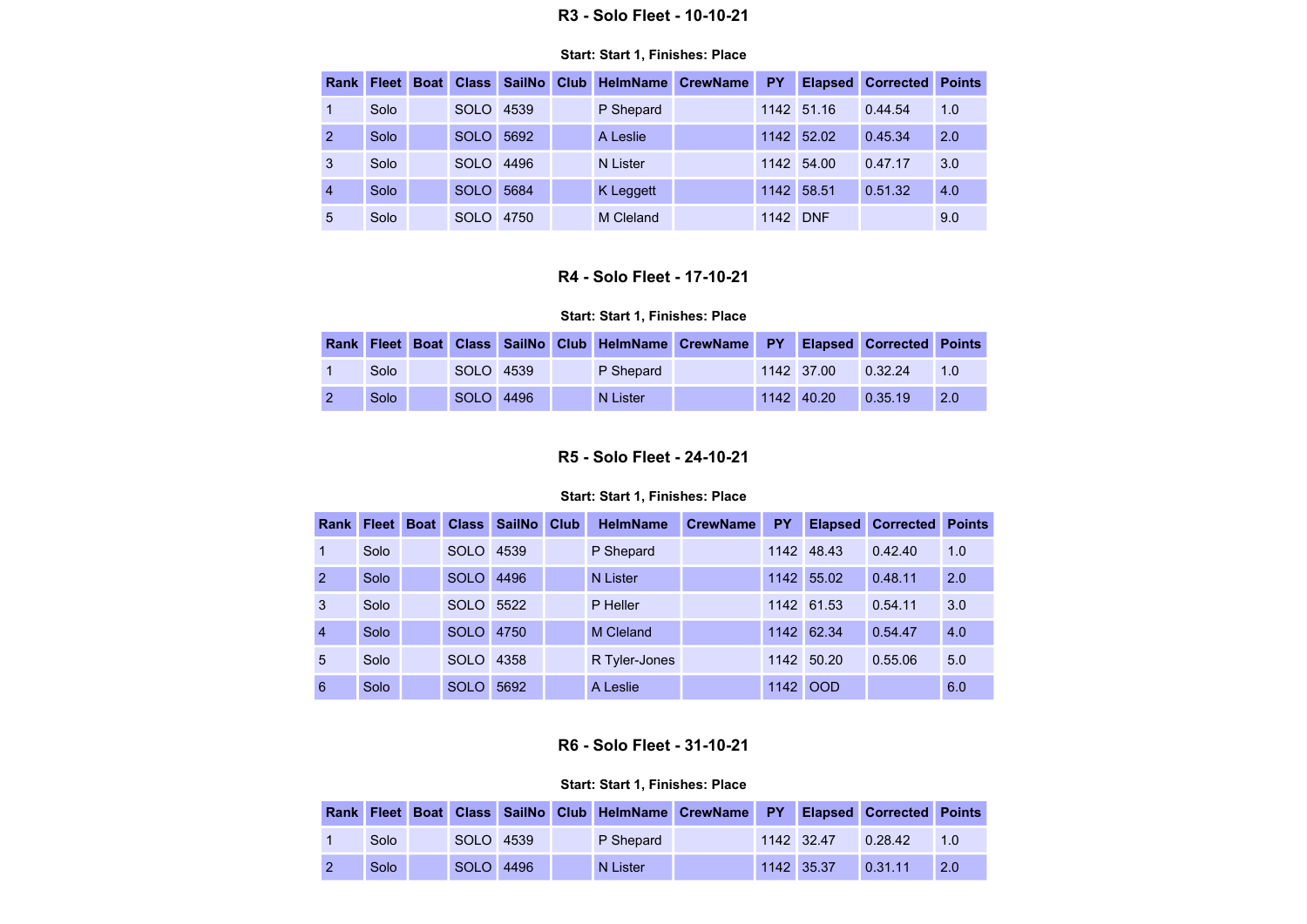### R3 - Solo Fleet - 10-10-21

#### Start: Start 1, Finishes: Place

| Rank           | <b>Fleet</b> | <b>Boat Class</b> | <b>SailNo</b> | Club <sub>1</sub> | <b>HelmName</b> | <b>CrewName</b> | <b>PY</b> | <b>Elapsed</b> | <b>Corrected</b> | <b>Points</b> |
|----------------|--------------|-------------------|---------------|-------------------|-----------------|-----------------|-----------|----------------|------------------|---------------|
|                | Solo         | <b>SOLO</b>       | 4539          |                   | P Shepard       |                 |           | 1142 51.16     | 0.44.54          | 1.0           |
| $\mathcal{P}$  | Solo         | <b>SOLO</b>       | 5692          |                   | A Leslie        |                 |           | 1142 52.02     | 0.45.34          | 2.0           |
| 3              | Solo         | <b>SOLO</b>       | 4496          |                   | N Lister        |                 |           | 1142 54.00     | 0.47.17          | 3.0           |
| $\overline{4}$ | Solo         | <b>SOLO</b>       | 5684          |                   | K Leggett       |                 |           | 1142 58.51     | 0.51.32          | 4.0           |
| 5              | Solo         | <b>SOLO</b>       | 4750          |                   | M Cleland       |                 | 1142 DNF  |                |                  | 9.0           |

# R4 - Solo Fleet - 17-10-21

### Start: Start 1, Finishes: Place

|                   |           |  | Rank Fleet Boat Class SailNo Club HelmName CrewName PY Elapsed Corrected Points |  |            |         |     |
|-------------------|-----------|--|---------------------------------------------------------------------------------|--|------------|---------|-----|
| Solo              | SOLO 4539 |  | P Shepard                                                                       |  | 1142 37.00 | 0.32.24 | 1.0 |
| Solo <sup>'</sup> | SOLO 4496 |  | N Lister                                                                        |  | 1142 40.20 | 0.35.19 | 2.0 |

## R5 - Solo Fleet - 24-10-21

## Start: Start 1, Finishes: Place

| <b>Rank</b>   | <b>Fleet</b> | <b>Boat</b> | Class <sub>1</sub> | <b>SailNo</b> | <b>Club</b> | <b>HelmName</b>  | <b>CrewName</b> | <b>PY</b> | <b>Elapsed</b> | <b>Corrected</b> | <b>Points</b> |
|---------------|--------------|-------------|--------------------|---------------|-------------|------------------|-----------------|-----------|----------------|------------------|---------------|
|               | Solo         |             | <b>SOLO</b>        | 4539          |             | P Shepard        |                 |           | 1142 48.43     | 0.42.40          | 1.0           |
| $\mathcal{P}$ | Solo         |             | SOLO <sup>1</sup>  | 4496          |             | N Lister         |                 |           | 1142 55.02     | 0.48.11          | 2.0           |
| 3             | Solo         |             | SOLO 5522          |               |             | P Heller         |                 |           | 1142 61.53     | 0.54.11          | 3.0           |
| 4             | Solo         |             | <b>SOLO</b>        | 4750          |             | <b>M</b> Cleland |                 |           | 1142 62.34     | 0.54.47          | 4.0           |
| 5             | Solo         |             | SOLO 4358          |               |             | R Tyler-Jones    |                 |           | 1142 50.20     | 0.55.06          | 5.0           |
| 6             | Solo         |             | <b>SOLO</b>        | 5692          |             | A Leslie         |                 |           | 1142 OOD       |                  | 6.0           |

# R6 - Solo Fleet - 31-10-21

|  |      |           |  |           | Rank Fleet Boat Class SailNo Club HelmName CrewName PY |            | <b>Elapsed Corrected Points</b> |     |
|--|------|-----------|--|-----------|--------------------------------------------------------|------------|---------------------------------|-----|
|  | Solo | SOLO 4539 |  | P Shepard |                                                        | 1142 32.47 | 0.28.42                         | 1.0 |
|  | Solo | SOLO 4496 |  | N Lister  |                                                        | 1142 35.37 | 0.31.11                         | 2.0 |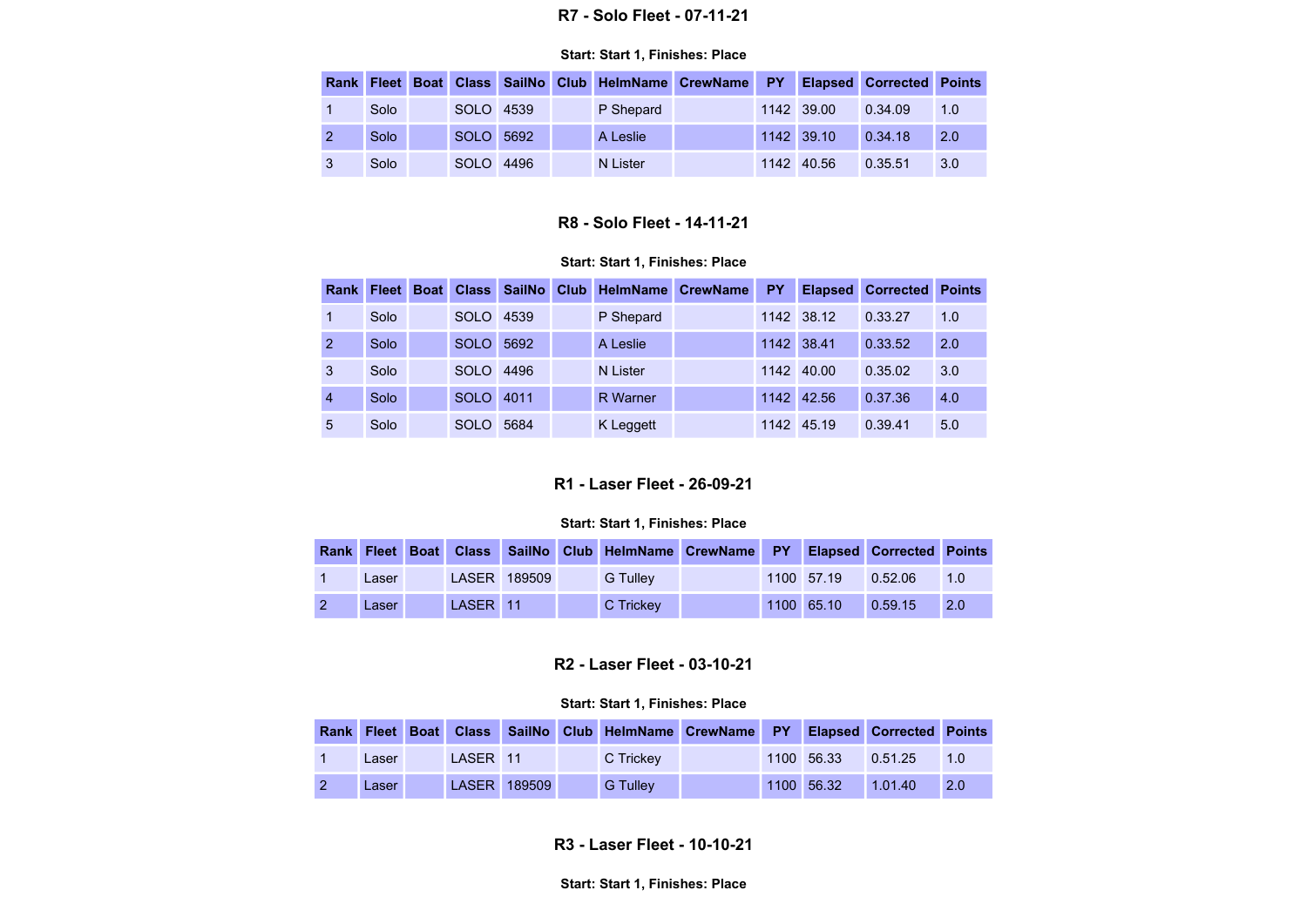#### R7 - Solo Fleet - 07-11-21

#### Start: Start 1, Finishes: Place

|              |      |           |  |           | Rank Fleet Boat Class SailNo Club HelmName CrewName PY Elapsed Corrected Points |              |         |     |
|--------------|------|-----------|--|-----------|---------------------------------------------------------------------------------|--------------|---------|-----|
|              | Solo | SOLO 4539 |  | P Shepard |                                                                                 | 1142 39.00   | 0.34.09 | 1.0 |
|              | Solo | SOLO 5692 |  | A Leslie  |                                                                                 | $1142$ 39.10 | 0.34.18 | 2.0 |
| $\mathbf{3}$ | Solo | SOLO 4496 |  | N Lister  |                                                                                 | 1142 40.56   | 0.35.51 | 3.0 |

## R8 - Solo Fleet - 14-11-21

#### Start: Start 1, Finishes: Place

| Rank | <b>Fleet</b> | <b>Boat</b> | <b>Class</b> | <b>SailNo</b> | <b>Club</b> |                 | <b>HelmName CrewName</b> | <b>PY</b> | <b>Elapsed</b> | <b>Corrected</b> | <b>Points</b> |
|------|--------------|-------------|--------------|---------------|-------------|-----------------|--------------------------|-----------|----------------|------------------|---------------|
|      | Solo         |             | <b>SOLO</b>  | 4539          |             | P Shepard       |                          |           | 1142 38.12     | 0.33.27          | 1.0           |
|      | Solo         |             | <b>SOLO</b>  | 5692          |             | A Leslie        |                          |           | 1142 38.41     | 0.33.52          | 2.0           |
| 3    | Solo         |             | <b>SOLO</b>  | 4496          |             | N Lister        |                          |           | 1142 40.00     | 0.35.02          | 3.0           |
|      | Solo         |             | <b>SOLO</b>  | 4011          |             | <b>R</b> Warner |                          |           | 1142 42.56     | 0.37.36          | 4.0           |
| 5    | Solo         |             | SOLO         | 5684          |             | K Leggett       |                          |           | 1142 45.19     | 0.39.41          | 5.0           |

# R1 - Laser Fleet - 26-09-21

#### Start: Start 1, Finishes: Place

|  |       |          |              | Rank Fleet Boat Class SailNo Club HelmName CrewName PY Elapsed Corrected Points |  |            |         |            |
|--|-------|----------|--------------|---------------------------------------------------------------------------------|--|------------|---------|------------|
|  | Laser |          | LASER 189509 | <b>G</b> Tullev                                                                 |  | 1100 57.19 | 0.52.06 | 1.0        |
|  | Laser | LASER 11 |              | C Trickey                                                                       |  | 1100 65.10 | 0.59.15 | <b>2.0</b> |

## R2 - Laser Fleet - 03-10-21

#### Start: Start 1, Finishes: Place

|       |          |              | Rank Fleet Boat Class SailNo Club HelmName CrewName PY Elapsed Corrected Points |  |            |         |     |
|-------|----------|--------------|---------------------------------------------------------------------------------|--|------------|---------|-----|
| Laser | LASER 11 |              | C Trickev                                                                       |  | 1100 56.33 | 0.51.25 | 1.0 |
| Laser |          | LASER 189509 | <b>G</b> Tullev                                                                 |  | 1100 56.32 | 1.01.40 | 2.0 |

R3 - Laser Fleet - 10-10-21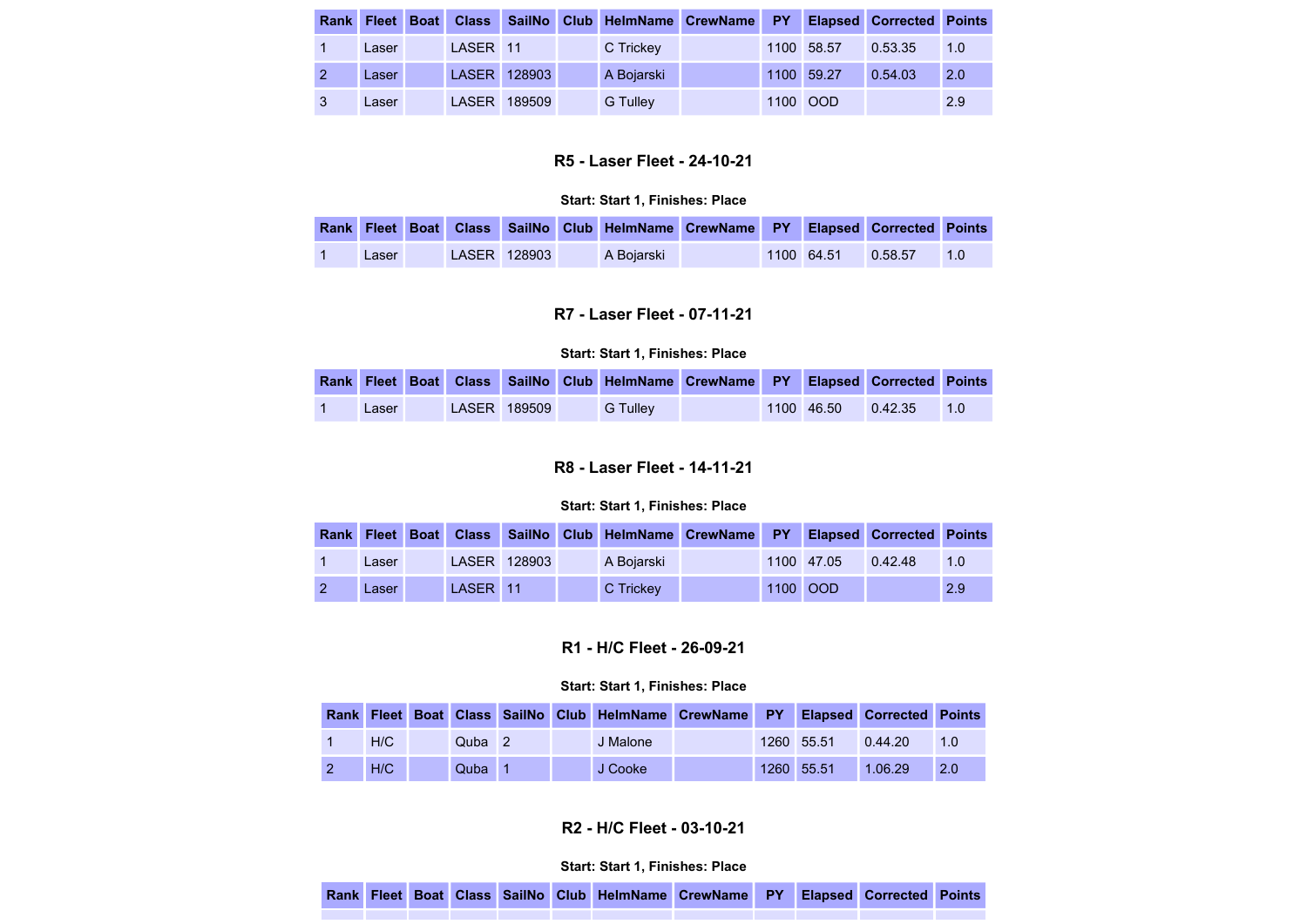|              |       |          |              | Rank Fleet Boat Class SailNo Club HelmName CrewName PY |  |            | <b>Elapsed Corrected Points</b> |     |
|--------------|-------|----------|--------------|--------------------------------------------------------|--|------------|---------------------------------|-----|
|              | Laser | LASER 11 |              | C Trickey                                              |  | 1100 58.57 | 0.53.35                         | 1.0 |
|              | Laser |          | LASER 128903 | A Bojarski                                             |  | 1100 59.27 | 0.54.03                         | 2.0 |
| $\mathbf{3}$ | Laser |          | LASER 189509 | G Tulley                                               |  | 1100 OOD   |                                 | 2.9 |

# R5 - Laser Fleet - 24-10-21

#### Start: Start 1, Finishes: Place

|       |  |              | Rank Fleet Boat Class SailNo Club HelmName CrewName PY Elapsed Corrected Points |  |                    |  |
|-------|--|--------------|---------------------------------------------------------------------------------|--|--------------------|--|
| Laser |  | LASER 128903 | A Boiarski                                                                      |  | 1100 64.51 0.58.57 |  |

## R7 - Laser Fleet - 07-11-21

#### Start: Start 1, Finishes: Place

|       |  |              |          | Rank Fleet Boat Class SailNo Club HelmName CrewName PY Elapsed Corrected Points |                      |     |
|-------|--|--------------|----------|---------------------------------------------------------------------------------|----------------------|-----|
| Laser |  | LASER 189509 | G Tulley |                                                                                 | $1100$ 46.50 0.42.35 | 1.0 |

# R8 - Laser Fleet - 14-11-21

#### Start: Start 1, Finishes: Place

|  |       |          |              | Rank Fleet Boat Class SailNo Club HelmName CrewName PY Elapsed Corrected Points |  |              |         |     |
|--|-------|----------|--------------|---------------------------------------------------------------------------------|--|--------------|---------|-----|
|  | Laser |          | LASER 128903 | A Boiarski                                                                      |  | $1100$ 47.05 | 0.42.48 | 1.0 |
|  | Laser | LASER 11 |              | C Trickey                                                                       |  | 1100 OOD     |         | 2.9 |

# R1 - H/C Fleet - 26-09-21

### Start: Start 1, Finishes: Place

|     |                   |  | Rank Fleet Boat Class SailNo Club HelmName CrewName PY Elapsed Corrected Points |  |            |         |     |
|-----|-------------------|--|---------------------------------------------------------------------------------|--|------------|---------|-----|
| H/C | Quba <sub>2</sub> |  | J Malone                                                                        |  | 1260 55.51 | 0.44.20 | 1.0 |
| H/C | Quba              |  | J Cooke                                                                         |  | 1260 55.51 | 1.06.29 | 2.0 |

# R2 - H/C Fleet - 03-10-21

|  |  |  |  |  |  | Rank Fleet Boat Class SailNo Club HelmName CrewName PY Elapsed Corrected Points |  |  |  |  |  |
|--|--|--|--|--|--|---------------------------------------------------------------------------------|--|--|--|--|--|
|--|--|--|--|--|--|---------------------------------------------------------------------------------|--|--|--|--|--|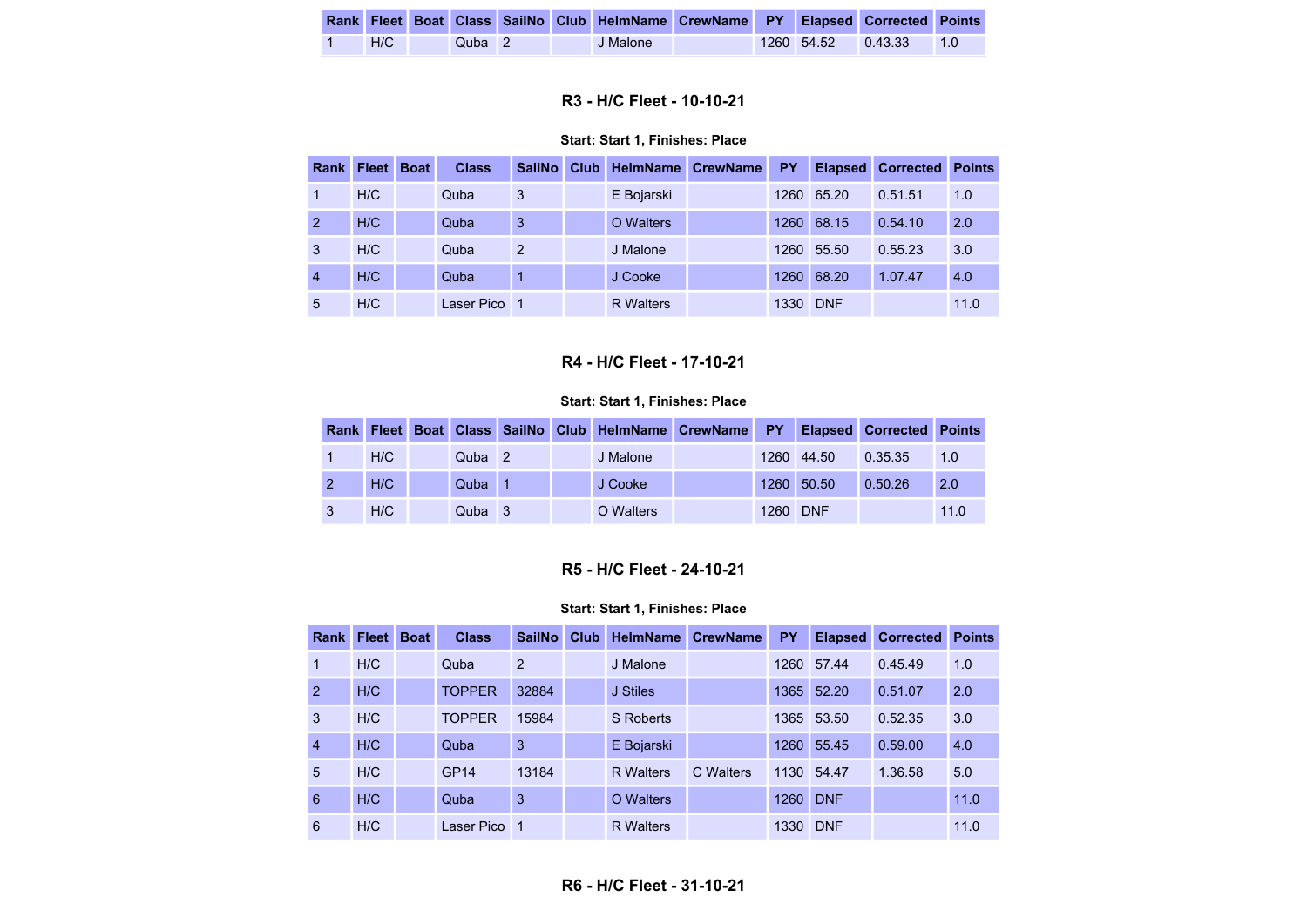|     |        |  | Rank Fleet Boat Class SailNo Club HelmName CrewName PY Elapsed Corrected Points |  |              |                   |       |
|-----|--------|--|---------------------------------------------------------------------------------|--|--------------|-------------------|-------|
| H/C | Quba 2 |  | J Malone                                                                        |  | $1260$ 54.52 | $\bigcup 0.43.33$ | . 1 O |

# R3 - H/C Fleet - 10-10-21

#### Start: Start 1, Finishes: Place

|                | Rank Fleet | <b>Boat</b> | <b>Class</b> | <b>SailNo</b> | Club | <b>HelmName</b>  | <b>CrewName</b> | <b>PY</b> | <b>Elapsed</b> | <b>Corrected</b> | <b>Points</b> |
|----------------|------------|-------------|--------------|---------------|------|------------------|-----------------|-----------|----------------|------------------|---------------|
|                | H/C        |             | Quba         | 3             |      | E Bojarski       |                 | 1260      | 65.20          | 0.51.51          | 1.0           |
| $\mathcal{P}$  | H/C        |             | Quba         | 3             |      | O Walters        |                 | 1260      | 68.15          | 0.54.10          | 2.0           |
| 3              | H/C        |             | Quba         | 2             |      | J Malone         |                 | 1260      | 55.50          | 0.55.23          | 3.0           |
| $\overline{4}$ | H/C        |             | Quba         |               |      | J Cooke          |                 | 1260      | 68.20          | 1.07.47          | 4.0           |
| 5              | H/C        |             | Laser Pico   | -1            |      | <b>R</b> Walters |                 | 1330      | <b>DNF</b>     |                  | 11.0          |

## R4 - H/C Fleet - 17-10-21

#### Start: Start 1, Finishes: Place

|     |                   |  | Rank Fleet Boat Class SailNo Club HelmName CrewName PY Elapsed Corrected Points |  |            |         |      |
|-----|-------------------|--|---------------------------------------------------------------------------------|--|------------|---------|------|
| H/C | Quba <sub>2</sub> |  | J Malone                                                                        |  | 1260 44.50 | 0.35.35 | 1.0  |
| H/C | Quba              |  | J Cooke                                                                         |  | 1260 50.50 | 0.50.26 | 2.0  |
| H/C | Quba <sub>3</sub> |  | O Walters                                                                       |  | 1260 DNF   |         | 11.0 |

# R5 - H/C Fleet - 24-10-21

| <b>Rank</b>    | <b>Fleet</b> | <b>Boat</b> | <b>Class</b>     | <b>SailNo</b> | Club | <b>HelmName</b>  | <b>CrewName</b> | <b>PY</b> | <b>Elapsed</b> | <b>Corrected</b> | <b>Points</b> |
|----------------|--------------|-------------|------------------|---------------|------|------------------|-----------------|-----------|----------------|------------------|---------------|
| 1              | H/C          |             | Quba             | 2             |      | J Malone         |                 | 1260      | 57.44          | 0.45.49          | 1.0           |
| $\mathcal{P}$  | H/C          |             | <b>TOPPER</b>    | 32884         |      | J Stiles         |                 | 1365      | 52.20          | 0.51.07          | 2.0           |
| 3              | H/C          |             | <b>TOPPER</b>    | 15984         |      | <b>S</b> Roberts |                 |           | 1365 53.50     | 0.52.35          | 3.0           |
| $\overline{4}$ | H/C          |             | Quba             | 3             |      | E Bojarski       |                 | 1260      | 55.45          | 0.59.00          | 4.0           |
| 5              | H/C          |             | GP <sub>14</sub> | 13184         |      | <b>R</b> Walters | C Walters       | 1130      | 54.47          | 1.36.58          | 5.0           |
| 6              | H/C          |             | Quba             | 3             |      | O Walters        |                 | 1260      | <b>DNF</b>     |                  | 11.0          |
| 6              | H/C          |             | Laser Pico       | 1             |      | <b>R</b> Walters |                 | 1330      | <b>DNF</b>     |                  | 11.0          |